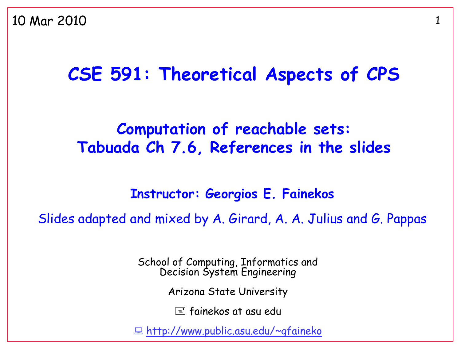#### **CSE 591: Theoretical Aspects of CPS**

#### **Computation of reachable sets: Tabuada Ch 7.6, References in the slides**

#### **Instructor: Georgios E. Fainekos**

Slides adapted and mixed by A. Girard, A. A. Julius and G. Pappas

School of Computing, Informatics and Decision System Engineering

Arizona State University

 $\equiv$  fainekos at asu edu

<http://www.public.asu.edu/~gfaineko>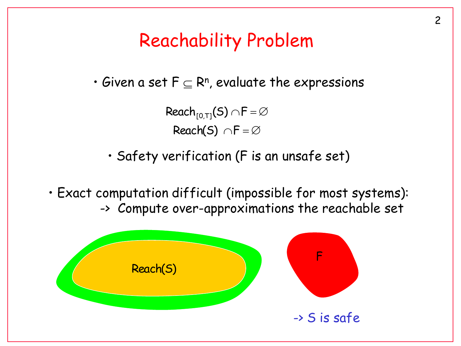#### Reachability Problem

 $\bm{\cdot}$  Given a set F  $\subseteq$  Rʰ, evaluate the expressions

Reach(S)  $\cap F = \varnothing$ Reach $_{[0,T]}(\mathsf{S})$   $\cap \mathsf{F}$  =  $\varnothing$ 

• Safety verification (F is an unsafe set)

• Exact computation difficult (impossible for most systems): -> Compute over-approximations the reachable set

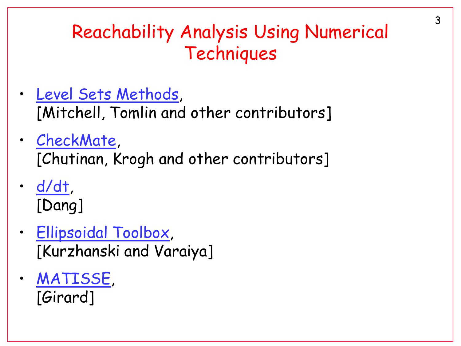# Reachability Analysis Using Numerical **Techniques**

- [Level Sets Methods](http://www.cs.ubc.ca/~mitchell/ToolboxLS/), [Mitchell, Tomlin and other contributors]
- [CheckMate,](http://www.ece.cmu.edu/~webk/checkmate/) [Chutinan, Krogh and other contributors]
- [d/dt](http://www-verimag.imag.fr/~tdang/ddt.html), [Dang]
- [Ellipsoidal Toolbox,](http://www.mathworks.com/matlabcentral/fileexchange/21936-ellipsoidal-toolbox-et) [Kurzhanski and Varaiya]
- [MATISSE](http://www-ljk.imag.fr/membres/Antoine.Girard/Software/Matisse/), [Girard]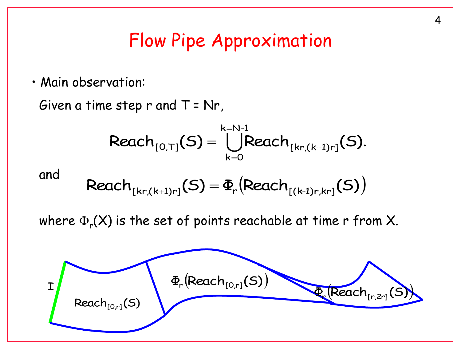#### Flow Pipe Approximation

• Main observation:

Given a time step  $r$  and  $T = Nr$ ,

$$
\text{Reach}_{[0,T]}(S) = \bigcup_{k=0}^{k=N-1} \text{Reach}_{[kr,(k+1)r]}(S).
$$

and

$$
\text{Reach}_{[kr,(k+1)r]}(S) = \Phi_r \big( \text{Reach}_{[(k-1)r,kr]}(S) \big)
$$

where  $\Phi_{\sf r}({\sf X})$  is the set of points reachable at time r from X.

$$
\Phi_r(\text{Reach}_{[0,r]}(S))
$$
 
$$
\Phi_r(\text{Reach}_{[0,r]}(S))
$$
 
$$
\Phi_r(\text{Reach}_{[r,2r]}(S))
$$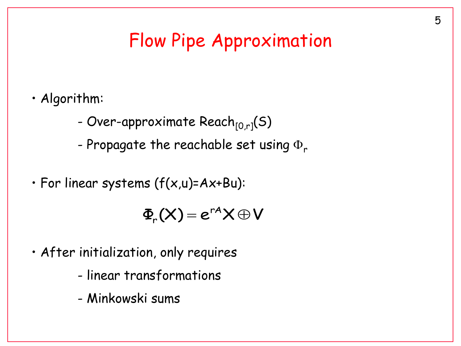### Flow Pipe Approximation

- Algorithm:
	- Over-approximate Reach $_{[0,r]}(S)$
	- Propagate the reachable set using  $\Phi_r$
- For linear systems (f(x,u)=Ax+Bu):

 $\Phi_{r}(X)=e^{rA}X\oplus V$ 

- After initialization, only requires
	- linear transformations
	- Minkowski sums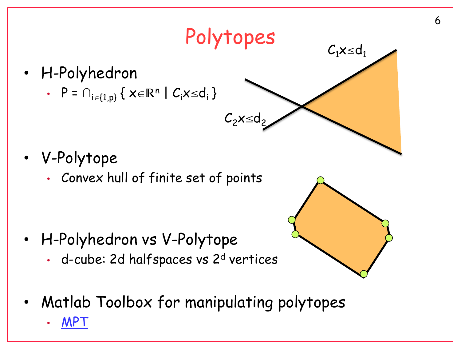$C_1x \leq d_1$ 

- H-Polyhedron
	- $P = \bigcap_{i \in \{1,p\}} \Set{ \times \in \mathbb{R}^n | C_i \times \leq d_i }$

- V-Polytope
	- Convex hull of finite set of points

- H-Polyhedron vs V-Polytope
	- d-cube: 2d halfspaces vs 2<sup>d</sup> vertices
- Matlab Toolbox for manipulating polytopes

Polytopes

 $C_2x \leq d_2$ 

• [MPT](http://control.ee.ethz.ch/~mpt/)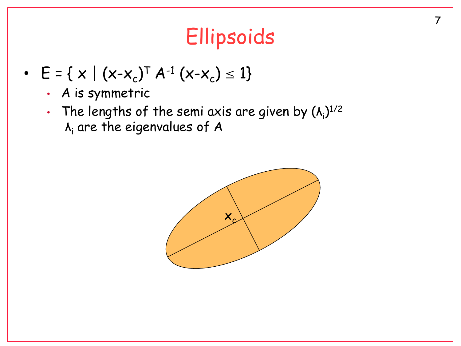# **Ellipsoids**

- $E = \{ x \mid (x-x_c)^T A^{-1} (x-x_c) \le 1 \}$ 
	- A is symmetric
	- The lengths of the semi axis are given by  $(\lambda_i)^{1/2}$  $\lambda_i$  are the eigenvalues of A

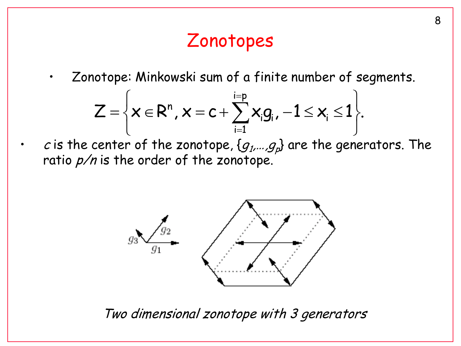# Zonotopes

• Zonotope: Minkowski sum of a finite number of segments.

$$
Z=\left\{x\in R^n,\,x=c+\sum_{i=1}^{i=p}x_ig_i\,,\,-1\leq x_i\leq 1\right\}.
$$

 $\cdot$  cis the center of the zonotope,  $\{g_{1},...,g_{p}\}$  are the generators. The ratio  $p/n$  is the order of the zonotope.



Two dimensional zonotope with 3 generators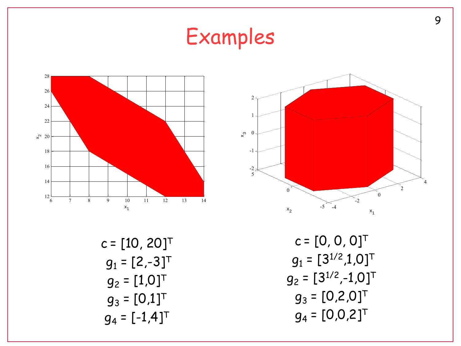Examples 6 7 8 9 10 11 12 13 14 12 14 16 18 20 22 24 26 28 x 1 x2- 4 - 2 0 2 4 - 5 0 5 - 2 - 1 0 1 2 x 1 x 2 x3c = [10, 20]<sup>T</sup> g<sup>1</sup> = [2,-3]<sup>T</sup> g<sup>2</sup> = [1,0]<sup>T</sup> g<sup>3</sup> = [0,1]<sup>T</sup> c = [0, 0, 0]<sup>T</sup> g<sup>1</sup> = [31/2,1,0]<sup>T</sup> g<sup>2</sup> = [31/2 ,-1,0]<sup>T</sup> g<sup>3</sup> = [0,2,0]<sup>T</sup>

 $g_4 = [0, 0, 2]^\top$ 

 $g_4 = [-1, 4]^T$ 

9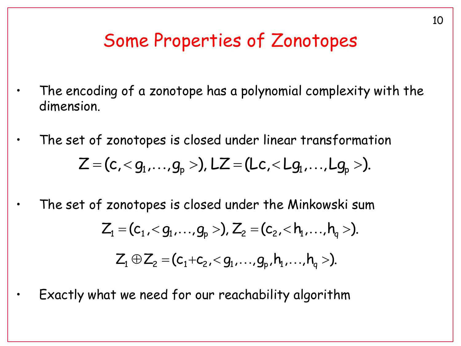#### Some Properties of Zonotopes

- The encoding of a zonotope has a polynomial complexity with the dimension.
- The set of zonotopes is closed under linear transformation  $Z = (c, )$ ,  $LZ = (Lc, .$
- The set of zonotopes is closed under the Minkowski sum  $Z_1 = (c_1, )$ ,  $Z_2 = (c_2, **hh**_{q})$ .  $Z_1 \oplus Z_2 = (c_1 + c_2, < g_1, ..., g_p, h_1, ..., h_q).$
- Exactly what we need for our reachability algorithm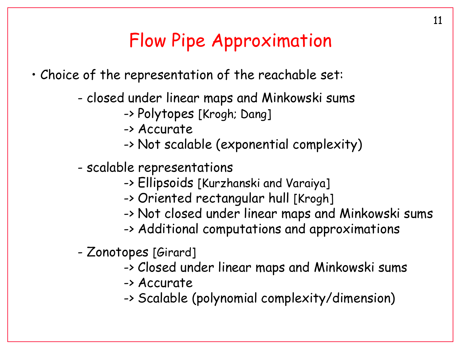### Flow Pipe Approximation

• Choice of the representation of the reachable set:

- closed under linear maps and Minkowski sums
	- -> Polytopes [Krogh; Dang]
	- -> Accurate
	- -> Not scalable (exponential complexity)
- scalable representations
	- -> Ellipsoids [Kurzhanski and Varaiya]
	- -> Oriented rectangular hull [Krogh]
	- -> Not closed under linear maps and Minkowski sums
	- -> Additional computations and approximations
- Zonotopes [Girard]
	- -> Closed under linear maps and Minkowski sums
	- -> Accurate
	- -> Scalable (polynomial complexity/dimension)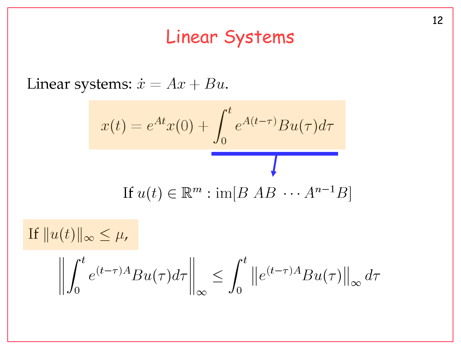#### Linear Systems

Linear systems:  $\dot{x} = Ax + Bu$ .

$$
x(t) = e^{At}x(0) + \int_0^t e^{A(t-\tau)}Bu(\tau)d\tau
$$
  
If  $u(t) \in \mathbb{R}^m : \text{im}[B \ AB \ \cdots \ A^{n-1}B]$ 

If  $||u(t)||_{\infty} \leq \mu$ ,

$$
\left\| \int_0^t e^{(t-\tau)A} B u(\tau) d\tau \right\|_{\infty} \leq \int_0^t \left\| e^{(t-\tau)A} B u(\tau) \right\|_{\infty} d\tau
$$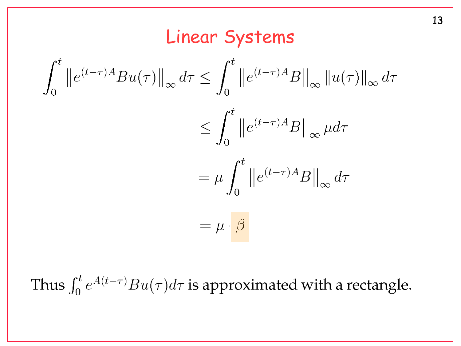#### Linear Systems

$$
\int_0^t \|e^{(t-\tau)A}Bu(\tau)\|_{\infty} d\tau \le \int_0^t \|e^{(t-\tau)A}B\|_{\infty} \|u(\tau)\|_{\infty} d\tau
$$

$$
\le \int_0^t \|e^{(t-\tau)A}B\|_{\infty} \mu d\tau
$$

$$
= \mu \int_0^t \|e^{(t-\tau)A}B\|_{\infty} d\tau
$$

$$
= \mu \cdot \beta
$$

Thus  $\int_0^t e^{A(t-\tau)}Bu(\tau)d\tau$  is approximated with a rectangle.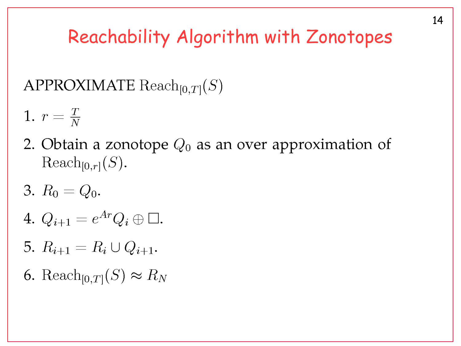# Reachability Algorithm with Zonotopes

APPROXIMATE  $\text{Reach}_{[0,T]}(S)$ 

- 1.  $r = \frac{T}{N}$
- 2. Obtain a zonotope  $Q_0$  as an over approximation of  $\text{Reach}_{[0,r]}(S)$ .
- 3.  $R_0 = Q_0$ .
- 4.  $Q_{i+1} = e^{Ar} Q_i \oplus \Box$ .
- 5.  $R_{i+1} = R_i \cup Q_{i+1}$ .
- 6. Reach<sub>[0,T]</sub> $(S) \approx R_N$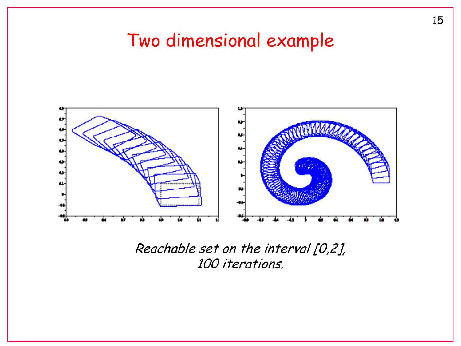#### Two dimensional example



#### Reachable set on the interval [0,2], 100 iterations.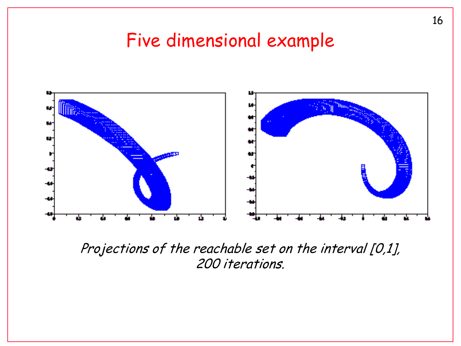#### Five dimensional example



Projections of the reachable set on the interval [0,1], 200 iterations.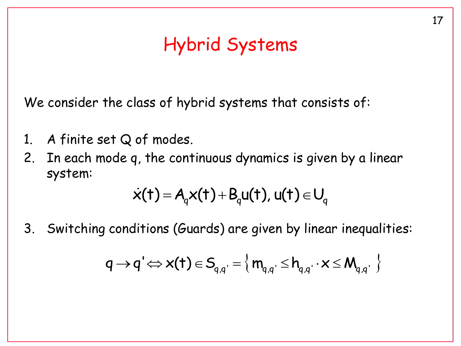# Hybrid Systems

We consider the class of hybrid systems that consists of:

- 1. A finite set Q of modes.
- 2. In each mode q, the continuous dynamics is given by a linear system:

$$
\dot{x}(t) = A_q x(t) + B_q u(t), u(t) \in U_q
$$

3. Switching conditions (Guards) are given by linear inequalities:

$$
q \rightarrow q' \Longleftrightarrow x(t) \in S_{q,q'} = \left\{ m_{q,q'} \leq h_{q,q'} \cdot x \leq M_{q,q'} \right\}
$$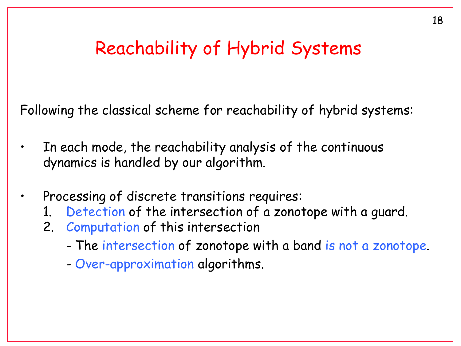#### Reachability of Hybrid Systems

Following the classical scheme for reachability of hybrid systems:

- In each mode, the reachability analysis of the continuous dynamics is handled by our algorithm.
- Processing of discrete transitions requires:
	- 1. Detection of the intersection of a zonotope with a guard.
	- 2. Computation of this intersection
		- The intersection of zonotope with a band is not a zonotope.
		- Over-approximation algorithms.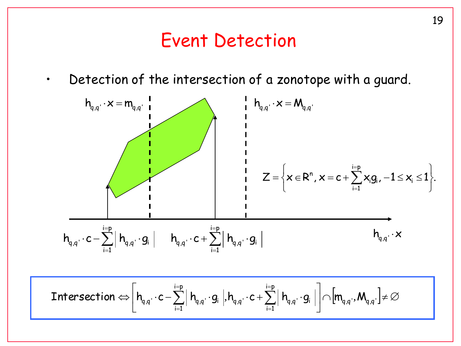#### Event Detection

• Detection of the intersection of a zonotope with a guard.

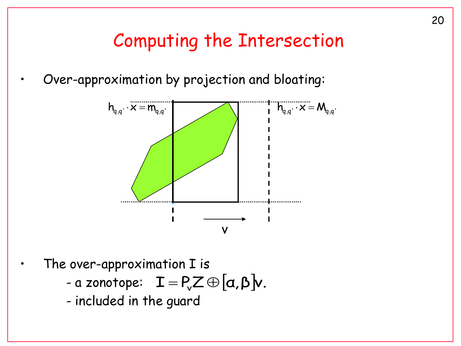### Computing the Intersection

• Over-approximation by projection and bloating:



The over-approximation I is

- a zonotope:  $\mathbf{I} = P_{\mathsf{v}} \mathbf{Z} \oplus [\mathbf{\alpha}, \mathbf{\beta}] \mathbf{v}$ .
- included in the guard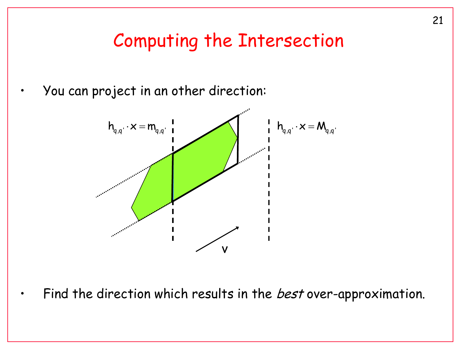### Computing the Intersection

• You can project in an other direction:



Find the direction which results in the *best* over-approximation.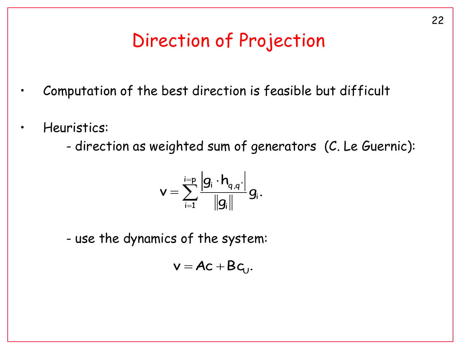# Direction of Projection

- Computation of the best direction is feasible but difficult
- Heuristics:
	- direction as weighted sum of generators (C. Le Guernic):

$$
\mathsf{v}=\sum_{\mathsf{i}=1}^{\mathsf{i=p}}\frac{\left|\mathsf{g}_{\mathsf{i}}\cdot\mathsf{h}_{\mathsf{q},\mathsf{q}}\cdot\right|}{\left\|\mathsf{g}_{\mathsf{i}}\right\|}\mathsf{g}_{\mathsf{i}}.
$$

- use the dynamics of the system:

$$
v = Ac + Bc_U.
$$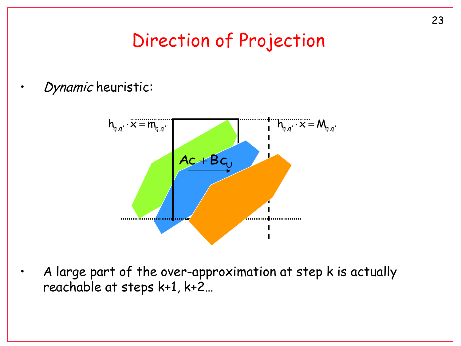### Direction of Projection

#### • Dynamic heuristic:



• A large part of the over-approximation at step k is actually reachable at steps k+1, k+2…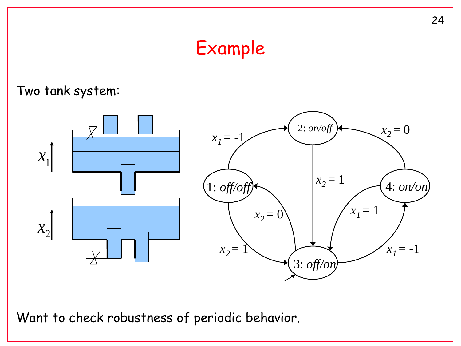# Example

#### Two tank system:



Want to check robustness of periodic behavior.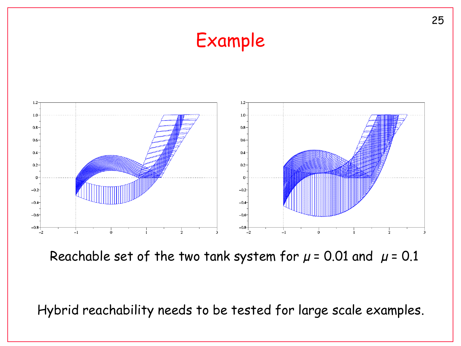# Example



Reachable set of the two tank system for  $\mu$  = 0.01 and  $\mu$  = 0.1

Hybrid reachability needs to be tested for large scale examples.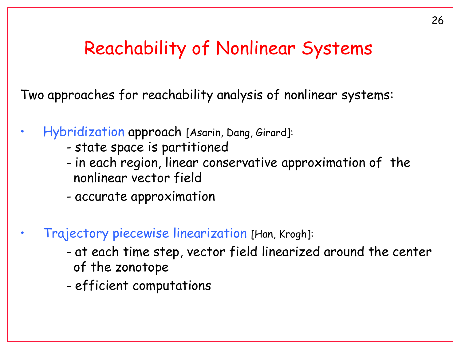#### Reachability of Nonlinear Systems

Two approaches for reachability analysis of nonlinear systems:

- Hybridization approach [Asarin, Dang, Girard]:
	- state space is partitioned
	- in each region, linear conservative approximation of the nonlinear vector field
	- accurate approximation
- Trajectory piecewise linearization [Han, Krogh]:
	- at each time step, vector field linearized around the center of the zonotope
	- efficient computations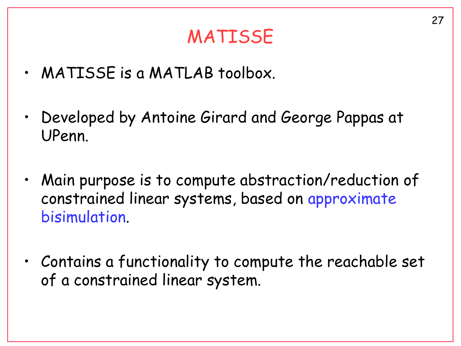# MATISSE

- MATISSE is a MATLAB toolbox.
- Developed by Antoine Girard and George Pappas at UPenn.
- Main purpose is to compute abstraction/reduction of constrained linear systems, based on approximate bisimulation.
- Contains a functionality to compute the reachable set of a constrained linear system.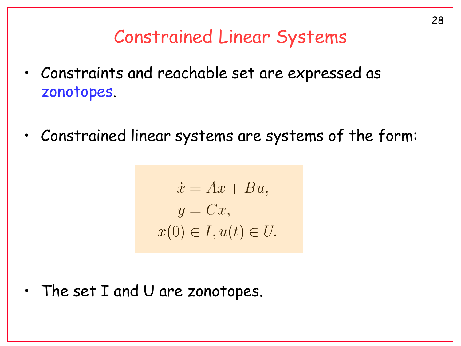# Constrained Linear Systems

- Constraints and reachable set are expressed as zonotopes.
- Constrained linear systems are systems of the form:

$$
\dot{x} = Ax + Bu,
$$
  
\n
$$
y = Cx,
$$
  
\n
$$
x(0) \in I, u(t) \in U.
$$

• The set I and U are zonotopes.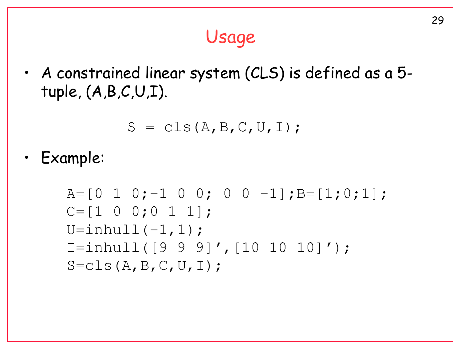# Usage

• A constrained linear system (CLS) is defined as a 5 tuple, (A,B,C,U,I).

$$
S = \text{cls}(A, B, C, U, I);
$$

• Example: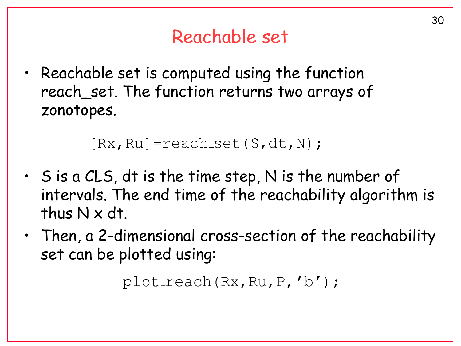# Reachable set

• Reachable set is computed using the function reach\_set. The function returns two arrays of zonotopes.

```
[Rx, Ru] =reach_set (S, dt, N);
```
- S is a CLS, dt is the time step, N is the number of intervals. The end time of the reachability algorithm is thus N x dt.
- Then, a 2-dimensional cross-section of the reachability set can be plotted using:

```
plot\_reach(Rx, Ru, P, 'b');
```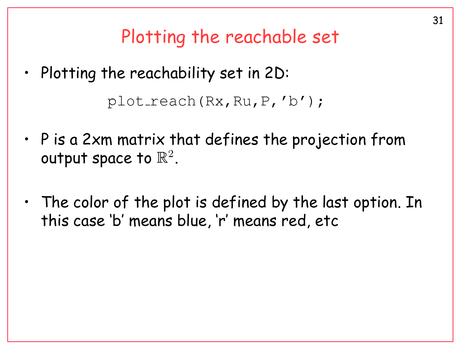Plotting the reachable set

- Plotting the reachability set in 2D:  $plot\_reach(Rx, Ru, P, 'b')$ ;
- P is a 2xm matrix that defines the projection from output space to  $\mathbb{R}^2$ .
- The color of the plot is defined by the last option. In this case 'b' means blue, 'r' means red, etc